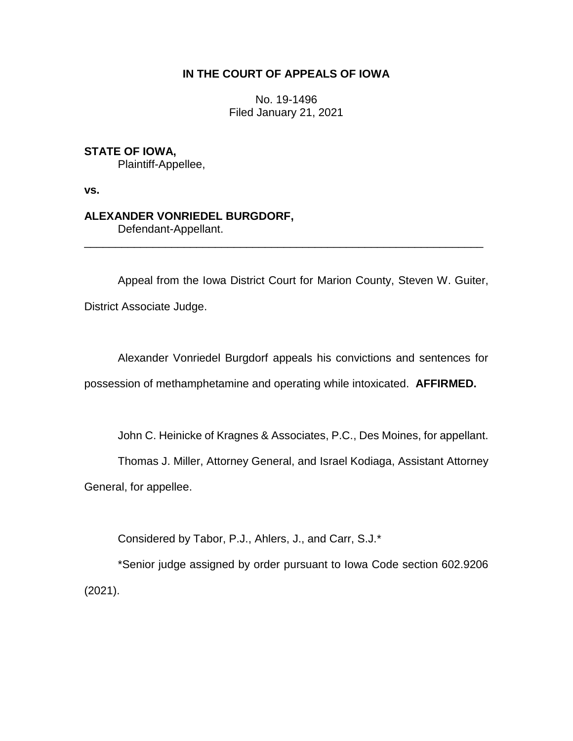## **IN THE COURT OF APPEALS OF IOWA**

No. 19-1496 Filed January 21, 2021

**STATE OF IOWA,**

Plaintiff-Appellee,

**vs.**

## **ALEXANDER VONRIEDEL BURGDORF,**

Defendant-Appellant.

Appeal from the Iowa District Court for Marion County, Steven W. Guiter, District Associate Judge.

\_\_\_\_\_\_\_\_\_\_\_\_\_\_\_\_\_\_\_\_\_\_\_\_\_\_\_\_\_\_\_\_\_\_\_\_\_\_\_\_\_\_\_\_\_\_\_\_\_\_\_\_\_\_\_\_\_\_\_\_\_\_\_\_

Alexander Vonriedel Burgdorf appeals his convictions and sentences for possession of methamphetamine and operating while intoxicated. **AFFIRMED.**

John C. Heinicke of Kragnes & Associates, P.C., Des Moines, for appellant.

Thomas J. Miller, Attorney General, and Israel Kodiaga, Assistant Attorney

General, for appellee.

Considered by Tabor, P.J., Ahlers, J., and Carr, S.J.\*

\*Senior judge assigned by order pursuant to Iowa Code section 602.9206 (2021).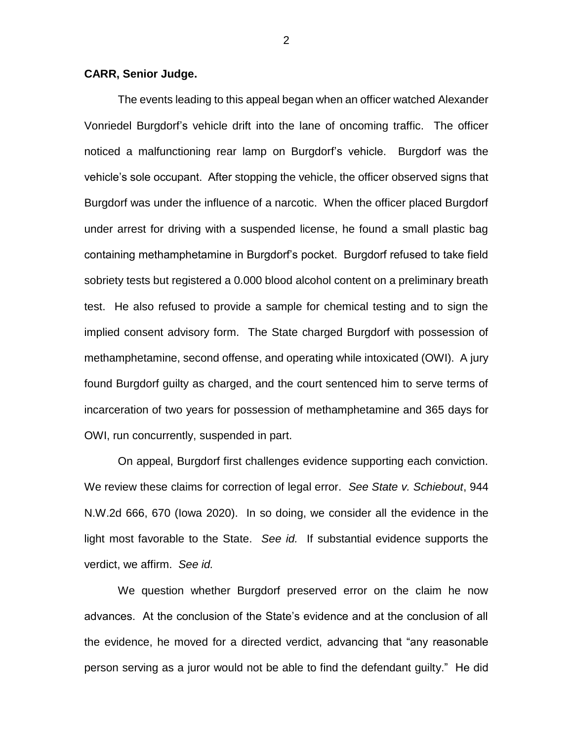## **CARR, Senior Judge.**

The events leading to this appeal began when an officer watched Alexander Vonriedel Burgdorf's vehicle drift into the lane of oncoming traffic. The officer noticed a malfunctioning rear lamp on Burgdorf's vehicle. Burgdorf was the vehicle's sole occupant. After stopping the vehicle, the officer observed signs that Burgdorf was under the influence of a narcotic. When the officer placed Burgdorf under arrest for driving with a suspended license, he found a small plastic bag containing methamphetamine in Burgdorf's pocket. Burgdorf refused to take field sobriety tests but registered a 0.000 blood alcohol content on a preliminary breath test. He also refused to provide a sample for chemical testing and to sign the implied consent advisory form. The State charged Burgdorf with possession of methamphetamine, second offense, and operating while intoxicated (OWI). A jury found Burgdorf guilty as charged, and the court sentenced him to serve terms of incarceration of two years for possession of methamphetamine and 365 days for OWI, run concurrently, suspended in part.

On appeal, Burgdorf first challenges evidence supporting each conviction. We review these claims for correction of legal error. *See State v. Schiebout*, 944 N.W.2d 666, 670 (Iowa 2020). In so doing, we consider all the evidence in the light most favorable to the State. *See id.* If substantial evidence supports the verdict, we affirm. *See id.* 

We question whether Burgdorf preserved error on the claim he now advances. At the conclusion of the State's evidence and at the conclusion of all the evidence, he moved for a directed verdict, advancing that "any reasonable person serving as a juror would not be able to find the defendant guilty." He did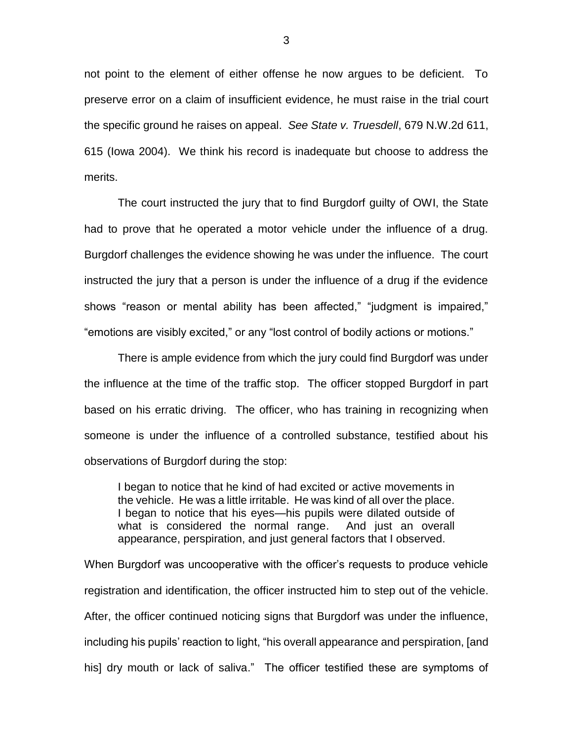not point to the element of either offense he now argues to be deficient. To preserve error on a claim of insufficient evidence, he must raise in the trial court the specific ground he raises on appeal. *See State v. Truesdell*, 679 N.W.2d 611, 615 (Iowa 2004). We think his record is inadequate but choose to address the merits.

The court instructed the jury that to find Burgdorf guilty of OWI, the State had to prove that he operated a motor vehicle under the influence of a drug. Burgdorf challenges the evidence showing he was under the influence. The court instructed the jury that a person is under the influence of a drug if the evidence shows "reason or mental ability has been affected," "judgment is impaired," "emotions are visibly excited," or any "lost control of bodily actions or motions."

There is ample evidence from which the jury could find Burgdorf was under the influence at the time of the traffic stop. The officer stopped Burgdorf in part based on his erratic driving. The officer, who has training in recognizing when someone is under the influence of a controlled substance, testified about his observations of Burgdorf during the stop:

I began to notice that he kind of had excited or active movements in the vehicle. He was a little irritable. He was kind of all over the place. I began to notice that his eyes—his pupils were dilated outside of what is considered the normal range. And just an overall appearance, perspiration, and just general factors that I observed.

When Burgdorf was uncooperative with the officer's requests to produce vehicle registration and identification, the officer instructed him to step out of the vehicle. After, the officer continued noticing signs that Burgdorf was under the influence, including his pupils' reaction to light, "his overall appearance and perspiration, [and his] dry mouth or lack of saliva." The officer testified these are symptoms of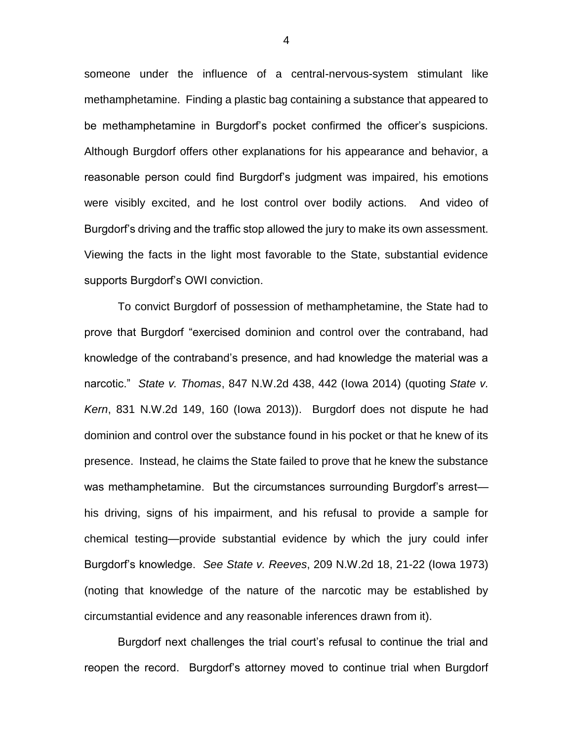someone under the influence of a central-nervous-system stimulant like methamphetamine. Finding a plastic bag containing a substance that appeared to be methamphetamine in Burgdorf's pocket confirmed the officer's suspicions. Although Burgdorf offers other explanations for his appearance and behavior, a reasonable person could find Burgdorf's judgment was impaired, his emotions were visibly excited, and he lost control over bodily actions. And video of Burgdorf's driving and the traffic stop allowed the jury to make its own assessment. Viewing the facts in the light most favorable to the State, substantial evidence supports Burgdorf's OWI conviction.

To convict Burgdorf of possession of methamphetamine, the State had to prove that Burgdorf "exercised dominion and control over the contraband, had knowledge of the contraband's presence, and had knowledge the material was a narcotic." *State v. Thomas*, 847 N.W.2d 438, 442 (Iowa 2014) (quoting *State v. Kern*, 831 N.W.2d 149, 160 (Iowa 2013)). Burgdorf does not dispute he had dominion and control over the substance found in his pocket or that he knew of its presence. Instead, he claims the State failed to prove that he knew the substance was methamphetamine. But the circumstances surrounding Burgdorf's arrest his driving, signs of his impairment, and his refusal to provide a sample for chemical testing—provide substantial evidence by which the jury could infer Burgdorf's knowledge. *See State v. Reeves*, 209 N.W.2d 18, 21-22 (Iowa 1973) (noting that knowledge of the nature of the narcotic may be established by circumstantial evidence and any reasonable inferences drawn from it).

Burgdorf next challenges the trial court's refusal to continue the trial and reopen the record. Burgdorf's attorney moved to continue trial when Burgdorf

4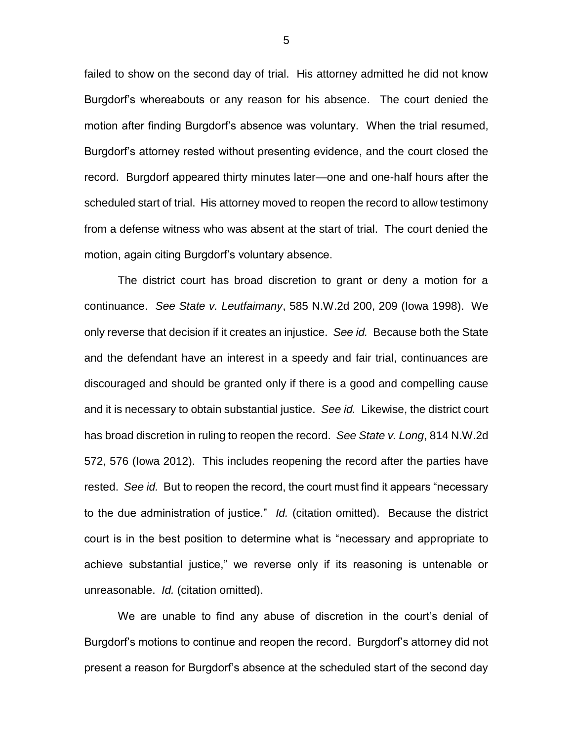failed to show on the second day of trial. His attorney admitted he did not know Burgdorf's whereabouts or any reason for his absence. The court denied the motion after finding Burgdorf's absence was voluntary. When the trial resumed, Burgdorf's attorney rested without presenting evidence, and the court closed the record. Burgdorf appeared thirty minutes later—one and one-half hours after the scheduled start of trial. His attorney moved to reopen the record to allow testimony from a defense witness who was absent at the start of trial. The court denied the motion, again citing Burgdorf's voluntary absence.

The district court has broad discretion to grant or deny a motion for a continuance. *See State v. Leutfaimany*, 585 N.W.2d 200, 209 (Iowa 1998). We only reverse that decision if it creates an injustice. *See id.* Because both the State and the defendant have an interest in a speedy and fair trial, continuances are discouraged and should be granted only if there is a good and compelling cause and it is necessary to obtain substantial justice. *See id.* Likewise, the district court has broad discretion in ruling to reopen the record. *See State v. Long*, 814 N.W.2d 572, 576 (Iowa 2012). This includes reopening the record after the parties have rested. *See id.* But to reopen the record, the court must find it appears "necessary to the due administration of justice." *Id.* (citation omitted). Because the district court is in the best position to determine what is "necessary and appropriate to achieve substantial justice," we reverse only if its reasoning is untenable or unreasonable. *Id.* (citation omitted).

We are unable to find any abuse of discretion in the court's denial of Burgdorf's motions to continue and reopen the record. Burgdorf's attorney did not present a reason for Burgdorf's absence at the scheduled start of the second day

5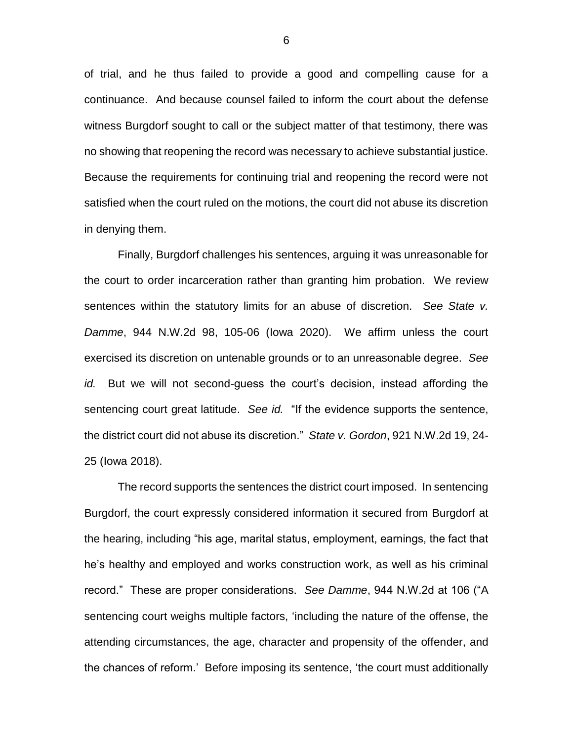of trial, and he thus failed to provide a good and compelling cause for a continuance. And because counsel failed to inform the court about the defense witness Burgdorf sought to call or the subject matter of that testimony, there was no showing that reopening the record was necessary to achieve substantial justice. Because the requirements for continuing trial and reopening the record were not satisfied when the court ruled on the motions, the court did not abuse its discretion in denying them.

Finally, Burgdorf challenges his sentences, arguing it was unreasonable for the court to order incarceration rather than granting him probation. We review sentences within the statutory limits for an abuse of discretion. *See State v. Damme*, 944 N.W.2d 98, 105-06 (Iowa 2020). We affirm unless the court exercised its discretion on untenable grounds or to an unreasonable degree. *See id.* But we will not second-guess the court's decision, instead affording the sentencing court great latitude. *See id.* "If the evidence supports the sentence, the district court did not abuse its discretion." *State v. Gordon*, 921 N.W.2d 19, 24- 25 (Iowa 2018).

The record supports the sentences the district court imposed. In sentencing Burgdorf, the court expressly considered information it secured from Burgdorf at the hearing, including "his age, marital status, employment, earnings, the fact that he's healthy and employed and works construction work, as well as his criminal record." These are proper considerations. *See Damme*, 944 N.W.2d at 106 ("A sentencing court weighs multiple factors, 'including the nature of the offense, the attending circumstances, the age, character and propensity of the offender, and the chances of reform.' Before imposing its sentence, 'the court must additionally